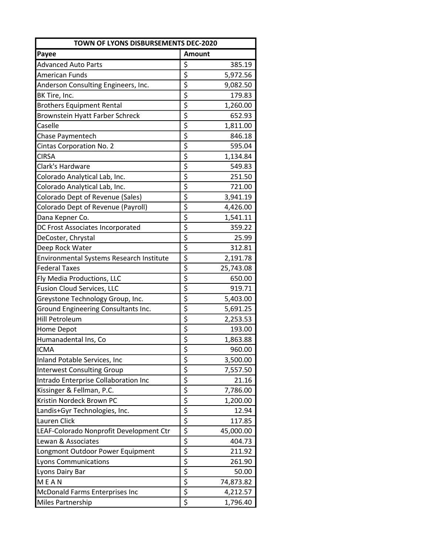| <b>TOWN OF LYONS DISBURSEMENTS DEC-2020</b> |                                     |           |  |
|---------------------------------------------|-------------------------------------|-----------|--|
| Payee                                       | <b>Amount</b>                       |           |  |
| <b>Advanced Auto Parts</b>                  | \$                                  | 385.19    |  |
| <b>American Funds</b>                       | $\overline{\varsigma}$              | 5,972.56  |  |
| Anderson Consulting Engineers, Inc.         | $\overline{\xi}$                    | 9,082.50  |  |
| BK Tire, Inc.                               | \$                                  | 179.83    |  |
| <b>Brothers Equipment Rental</b>            | $\overline{\xi}$                    | 1,260.00  |  |
| Brownstein Hyatt Farber Schreck             | $\overline{\mathsf{S}}$             | 652.93    |  |
| Caselle                                     | $\overline{\xi}$                    | 1,811.00  |  |
| <b>Chase Paymentech</b>                     |                                     | 846.18    |  |
| Cintas Corporation No. 2                    | $rac{5}{5}$                         | 595.04    |  |
| CIRSA                                       | $\overline{\boldsymbol{\varsigma}}$ | 1,134.84  |  |
| Clark's Hardware                            | \$                                  | 549.83    |  |
| Colorado Analytical Lab, Inc.               | \$                                  | 251.50    |  |
| Colorado Analytical Lab, Inc.               | \$                                  | 721.00    |  |
| Colorado Dept of Revenue (Sales)            | $\overline{\boldsymbol{\varsigma}}$ | 3,941.19  |  |
| Colorado Dept of Revenue (Payroll)          | $\overline{\xi}$                    | 4,426.00  |  |
| Dana Kepner Co.                             | \$                                  | 1,541.11  |  |
| DC Frost Associates Incorporated            | \$                                  | 359.22    |  |
| DeCoster, Chrystal                          | $\overline{\xi}$                    | 25.99     |  |
| Deep Rock Water                             | $\overline{\xi}$                    | 312.81    |  |
| Environmental Systems Research Institute    |                                     | 2,191.78  |  |
| <b>Federal Taxes</b>                        | $rac{5}{5}$                         | 25,743.08 |  |
| Fly Media Productions, LLC                  | $\overline{\xi}$                    | 650.00    |  |
| Fusion Cloud Services, LLC                  | \$                                  | 919.71    |  |
| Greystone Technology Group, Inc.            | $\overline{\varsigma}$              | 5,403.00  |  |
| Ground Engineering Consultants Inc.         | $\overline{\xi}$                    | 5,691.25  |  |
| <b>Hill Petroleum</b>                       | $\overline{\xi}$                    | 2,253.53  |  |
| Home Depot                                  |                                     | 193.00    |  |
| Humanadental Ins, Co                        | $\frac{1}{5}$                       | 1,863.88  |  |
| ICMA                                        | $\overline{\varsigma}$              | 960.00    |  |
| Inland Potable Services, Inc                | \$                                  | 3,500.00  |  |
| <b>Interwest Consulting Group</b>           |                                     | 7,557.50  |  |
| Intrado Enterprise Collaboration Inc        |                                     | 21.16     |  |
| Kissinger & Fellman, P.C.                   | $\frac{1}{2}$                       | 7,786.00  |  |
| Kristin Nordeck Brown PC                    |                                     | 1,200.00  |  |
| Landis+Gyr Technologies, Inc.               |                                     | 12.94     |  |
| Lauren Click                                | $\overline{\xi}$                    | 117.85    |  |
| LEAF-Colorado Nonprofit Development Ctr     | $\overline{\xi}$                    | 45,000.00 |  |
| Lewan & Associates                          | $\overline{\xi}$                    | 404.73    |  |
| Longmont Outdoor Power Equipment            |                                     | 211.92    |  |
| <b>Lyons Communications</b>                 | $\frac{1}{5}$                       | 261.90    |  |
| Lyons Dairy Bar                             | $\overline{\xi}$                    | 50.00     |  |
| <b>MEAN</b>                                 | $\overline{\boldsymbol{\xi}}$       | 74,873.82 |  |
|                                             | $\overline{\boldsymbol{\varsigma}}$ |           |  |
| McDonald Farms Enterprises Inc              |                                     | 4,212.57  |  |
| Miles Partnership                           | $\overline{\varsigma}$              | 1,796.40  |  |